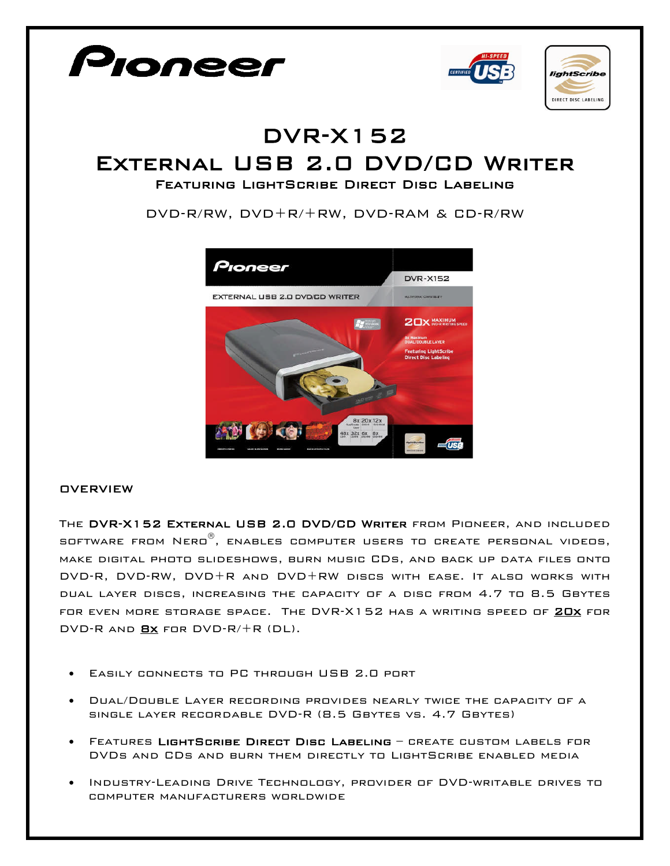

- Easily connects to PC through USB 2.0 port
- Dual/Double Layer recording provides nearly twice the capacity of a single layer recordable DVD-R (8.5 Gbytes vs. 4.7 Gbytes)
- Features LightScribe Direct Disc Labeling create custom labels for DVDs and CDs and burn them directly to LightScribe enabled media
- Industry-Leading Drive Technology, provider of DVD-writable drives to computer manufacturers worldwide